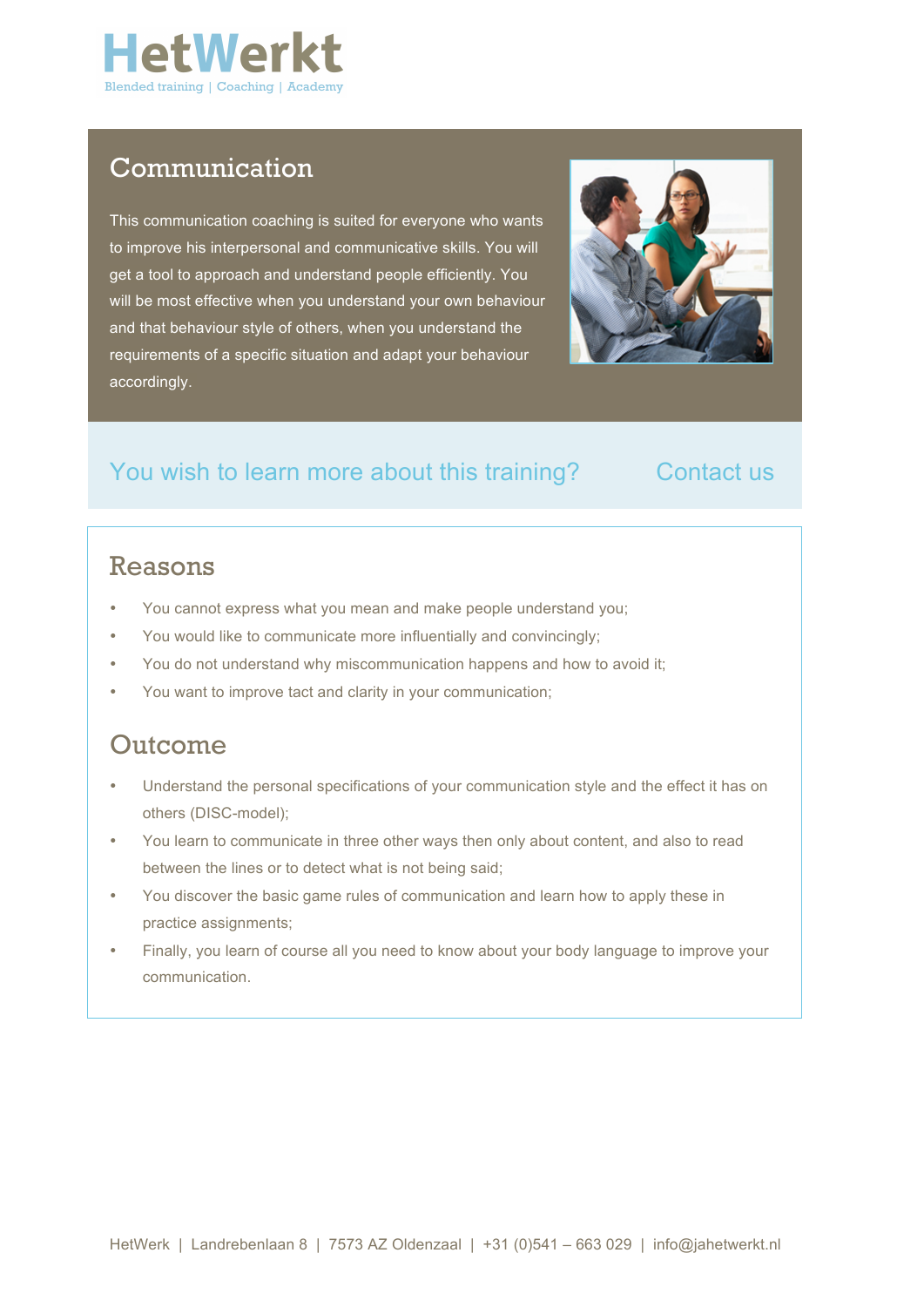

## Communication

This communication coaching is suited for everyone who wants to improve his interpersonal and communicative skills. You will get a tool to approach and understand people efficiently. You will be most effective when you understand your own behaviour and that behaviour style of others, when you understand the requirements of a specific situation and adapt your behaviour accordingly.



## You wish to learn more about this training? Contact us

## Reasons

- You cannot express what you mean and make people understand you;
- You would like to communicate more influentially and convincingly;
- You do not understand why miscommunication happens and how to avoid it;
- You want to improve tact and clarity in your communication;

## Outcome

- Understand the personal specifications of your communication style and the effect it has on others (DISC-model);
- You learn to communicate in three other ways then only about content, and also to read between the lines or to detect what is not being said;
- You discover the basic game rules of communication and learn how to apply these in practice assignments;
- Finally, you learn of course all you need to know about your body language to improve your communication.